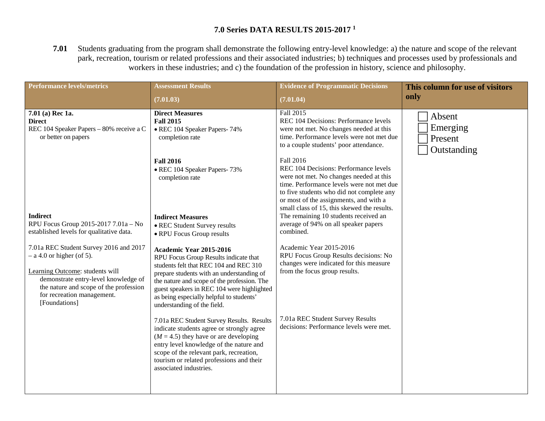## **7.0 Series DATA RESULTS 2015-2017 <sup>1</sup>**

**7.01** Students graduating from the program shall demonstrate the following entry-level knowledge: a) the nature and scope of the relevant park, recreation, tourism or related professions and their associated industries; b) techniques and processes used by professionals and workers in these industries; and c) the foundation of the profession in history, science and philosophy.

| <b>Performance levels/metrics</b>                                                                                                                                                                                                         | <b>Assessment Results</b><br>(7.01.03)                                                                                                                                                                                                                                                                                          | <b>Evidence of Programmatic Decisions</b><br>(7.01.04)                                                                                                                                                                                                                                                                                                                                                                    | This column for use of visitors<br>only      |
|-------------------------------------------------------------------------------------------------------------------------------------------------------------------------------------------------------------------------------------------|---------------------------------------------------------------------------------------------------------------------------------------------------------------------------------------------------------------------------------------------------------------------------------------------------------------------------------|---------------------------------------------------------------------------------------------------------------------------------------------------------------------------------------------------------------------------------------------------------------------------------------------------------------------------------------------------------------------------------------------------------------------------|----------------------------------------------|
| $7.01$ (a) Rec 1a.<br><b>Direct</b><br>REC 104 Speaker Papers - 80% receive a C<br>or better on papers                                                                                                                                    | <b>Direct Measures</b><br><b>Fall 2015</b><br>• REC 104 Speaker Papers-74%<br>completion rate<br><b>Fall 2016</b><br>• REC 104 Speaker Papers-73%<br>completion rate                                                                                                                                                            | Fall 2015<br>REC 104 Decisions: Performance levels<br>were not met. No changes needed at this<br>time. Performance levels were not met due<br>to a couple students' poor attendance.<br>Fall 2016<br>REC 104 Decisions: Performance levels<br>were not met. No changes needed at this<br>time. Performance levels were not met due<br>to five students who did not complete any<br>or most of the assignments, and with a | Absent<br>Emerging<br>Present<br>Outstanding |
| <b>Indirect</b><br>RPU Focus Group 2015-2017 7.01a - No<br>established levels for qualitative data.                                                                                                                                       | <b>Indirect Measures</b><br>• REC Student Survey results<br>• RPU Focus Group results                                                                                                                                                                                                                                           | small class of 15, this skewed the results.<br>The remaining 10 students received an<br>average of 94% on all speaker papers<br>combined.                                                                                                                                                                                                                                                                                 |                                              |
| 7.01a REC Student Survey 2016 and 2017<br>$-$ a 4.0 or higher (of 5).<br>Learning Outcome: students will<br>demonstrate entry-level knowledge of<br>the nature and scope of the profession<br>for recreation management.<br>[Foundations] | Academic Year 2015-2016<br>RPU Focus Group Results indicate that<br>students felt that REC 104 and REC 310<br>prepare students with an understanding of<br>the nature and scope of the profession. The<br>guest speakers in REC 104 were highlighted<br>as being especially helpful to students'<br>understanding of the field. | Academic Year 2015-2016<br>RPU Focus Group Results decisions: No<br>changes were indicated for this measure<br>from the focus group results.                                                                                                                                                                                                                                                                              |                                              |
|                                                                                                                                                                                                                                           | 7.01a REC Student Survey Results. Results<br>indicate students agree or strongly agree<br>$(M = 4.5)$ they have or are developing<br>entry level knowledge of the nature and<br>scope of the relevant park, recreation,<br>tourism or related professions and their<br>associated industries.                                   | 7.01a REC Student Survey Results<br>decisions: Performance levels were met.                                                                                                                                                                                                                                                                                                                                               |                                              |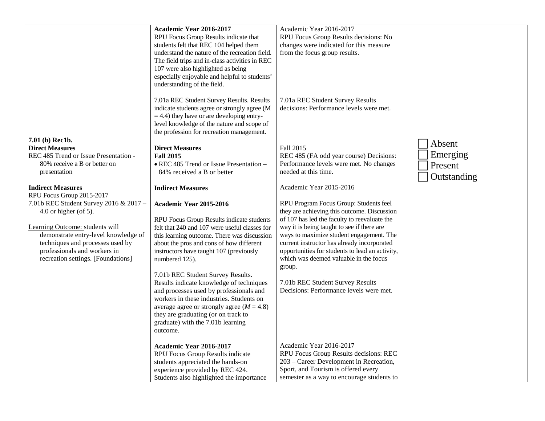|                                                                                                                                                                                                                                                                                                                                                                                                                                                       | Academic Year 2016-2017<br>RPU Focus Group Results indicate that<br>students felt that REC 104 helped them<br>understand the nature of the recreation field.<br>The field trips and in-class activities in REC<br>107 were also highlighted as being<br>especially enjoyable and helpful to students'<br>understanding of the field.<br>7.01a REC Student Survey Results. Results<br>indicate students agree or strongly agree (M<br>$=$ 4.4) they have or are developing entry-<br>level knowledge of the nature and scope of<br>the profession for recreation management.                                                                                                                                                                     | Academic Year 2016-2017<br>RPU Focus Group Results decisions: No<br>changes were indicated for this measure<br>from the focus group results.<br>7.01a REC Student Survey Results<br>decisions: Performance levels were met.                                                                                                                                                                                                                                                                                                                                                                                                |                                              |
|-------------------------------------------------------------------------------------------------------------------------------------------------------------------------------------------------------------------------------------------------------------------------------------------------------------------------------------------------------------------------------------------------------------------------------------------------------|-------------------------------------------------------------------------------------------------------------------------------------------------------------------------------------------------------------------------------------------------------------------------------------------------------------------------------------------------------------------------------------------------------------------------------------------------------------------------------------------------------------------------------------------------------------------------------------------------------------------------------------------------------------------------------------------------------------------------------------------------|----------------------------------------------------------------------------------------------------------------------------------------------------------------------------------------------------------------------------------------------------------------------------------------------------------------------------------------------------------------------------------------------------------------------------------------------------------------------------------------------------------------------------------------------------------------------------------------------------------------------------|----------------------------------------------|
| 7.01 (b) Rec1b.<br><b>Direct Measures</b><br>REC 485 Trend or Issue Presentation -<br>80% receive a B or better on<br>presentation<br><b>Indirect Measures</b><br>RPU Focus Group 2015-2017<br>7.01b REC Student Survey 2016 & 2017 -<br>$4.0$ or higher (of 5).<br>Learning Outcome: students will<br>demonstrate entry-level knowledge of<br>techniques and processes used by<br>professionals and workers in<br>recreation settings. [Foundations] | <b>Direct Measures</b><br><b>Fall 2015</b><br>• REC 485 Trend or Issue Presentation -<br>84% received a B or better<br><b>Indirect Measures</b><br>Academic Year 2015-2016<br>RPU Focus Group Results indicate students<br>felt that 240 and 107 were useful classes for<br>this learning outcome. There was discussion<br>about the pros and cons of how different<br>instructors have taught 107 (previously<br>numbered 125).<br>7.01b REC Student Survey Results.<br>Results indicate knowledge of techniques<br>and processes used by professionals and<br>workers in these industries. Students on<br>average agree or strongly agree $(M = 4.8)$<br>they are graduating (or on track to<br>graduate) with the 7.01b learning<br>outcome. | Fall 2015<br>REC 485 (FA odd year course) Decisions:<br>Performance levels were met. No changes<br>needed at this time.<br>Academic Year 2015-2016<br>RPU Program Focus Group: Students feel<br>they are achieving this outcome. Discussion<br>of 107 has led the faculty to reevaluate the<br>way it is being taught to see if there are<br>ways to maximize student engagement. The<br>current instructor has already incorporated<br>opportunities for students to lead an activity,<br>which was deemed valuable in the focus<br>group.<br>7.01b REC Student Survey Results<br>Decisions: Performance levels were met. | Absent<br>Emerging<br>Present<br>Outstanding |
|                                                                                                                                                                                                                                                                                                                                                                                                                                                       | <b>Academic Year 2016-2017</b><br>RPU Focus Group Results indicate<br>students appreciated the hands-on<br>experience provided by REC 424.<br>Students also highlighted the importance                                                                                                                                                                                                                                                                                                                                                                                                                                                                                                                                                          | Academic Year 2016-2017<br>RPU Focus Group Results decisions: REC<br>203 - Career Development in Recreation,<br>Sport, and Tourism is offered every<br>semester as a way to encourage students to                                                                                                                                                                                                                                                                                                                                                                                                                          |                                              |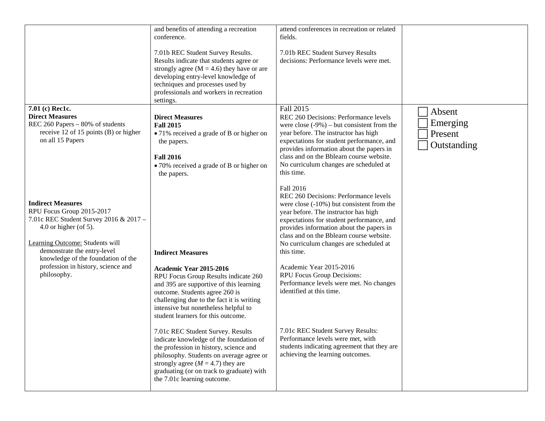|                                                                                                                                                                                                                                  | and benefits of attending a recreation<br>conference.<br>7.01b REC Student Survey Results.<br>Results indicate that students agree or<br>strongly agree ( $M = 4.6$ ) they have or are<br>developing entry-level knowledge of<br>techniques and processes used by<br>professionals and workers in recreation<br>settings. | attend conferences in recreation or related<br>fields.<br>7.01b REC Student Survey Results<br>decisions: Performance levels were met.                                                                                                                                                                                                    |                                              |
|----------------------------------------------------------------------------------------------------------------------------------------------------------------------------------------------------------------------------------|---------------------------------------------------------------------------------------------------------------------------------------------------------------------------------------------------------------------------------------------------------------------------------------------------------------------------|------------------------------------------------------------------------------------------------------------------------------------------------------------------------------------------------------------------------------------------------------------------------------------------------------------------------------------------|----------------------------------------------|
| 7.01 (c) Rec1c.<br><b>Direct Measures</b><br>REC 260 Papers - 80% of students<br>receive 12 of 15 points (B) or higher<br>on all 15 Papers                                                                                       | <b>Direct Measures</b><br><b>Fall 2015</b><br>• 71% received a grade of B or higher on<br>the papers.<br><b>Fall 2016</b><br>• 70% received a grade of B or higher on<br>the papers.                                                                                                                                      | Fall 2015<br>REC 260 Decisions: Performance levels<br>were close $(-9\%)$ – but consistent from the<br>year before. The instructor has high<br>expectations for student performance, and<br>provides information about the papers in<br>class and on the Bblearn course website.<br>No curriculum changes are scheduled at<br>this time. | Absent<br>Emerging<br>Present<br>Outstanding |
| <b>Indirect Measures</b><br>RPU Focus Group 2015-2017<br>7.01c REC Student Survey 2016 & 2017 -<br>4.0 or higher (of 5).<br>Learning Outcome: Students will<br>demonstrate the entry-level<br>knowledge of the foundation of the | <b>Indirect Measures</b>                                                                                                                                                                                                                                                                                                  | Fall 2016<br>REC 260 Decisions: Performance levels<br>were close $(-10\%)$ but consistent from the<br>year before. The instructor has high<br>expectations for student performance, and<br>provides information about the papers in<br>class and on the Bblearn course website.<br>No curriculum changes are scheduled at<br>this time.  |                                              |
| profession in history, science and<br>philosophy.                                                                                                                                                                                | Academic Year 2015-2016<br>RPU Focus Group Results indicate 260<br>and 395 are supportive of this learning<br>outcome. Students agree 260 is<br>challenging due to the fact it is writing<br>intensive but nonetheless helpful to<br>student learners for this outcome.                                                   | Academic Year 2015-2016<br>RPU Focus Group Decisions:<br>Performance levels were met. No changes<br>identified at this time.                                                                                                                                                                                                             |                                              |
|                                                                                                                                                                                                                                  | 7.01c REC Student Survey. Results<br>indicate knowledge of the foundation of<br>the profession in history, science and<br>philosophy. Students on average agree or<br>strongly agree ( $M = 4.7$ ) they are<br>graduating (or on track to graduate) with<br>the 7.01c learning outcome.                                   | 7.01c REC Student Survey Results:<br>Performance levels were met, with<br>students indicating agreement that they are<br>achieving the learning outcomes.                                                                                                                                                                                |                                              |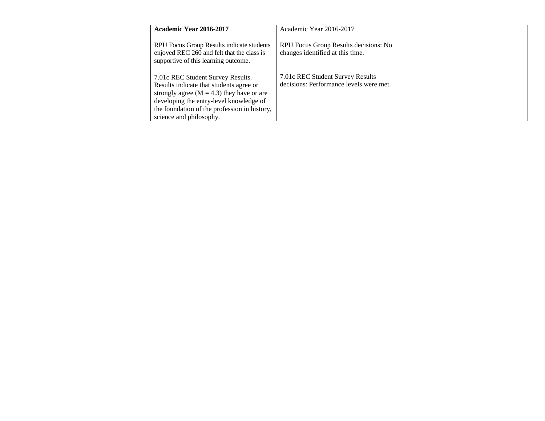| Academic Year 2016-2017                                                                                                                                                                                                                             | Academic Year 2016-2017                                                     |  |
|-----------------------------------------------------------------------------------------------------------------------------------------------------------------------------------------------------------------------------------------------------|-----------------------------------------------------------------------------|--|
| RPU Focus Group Results indicate students<br>enjoyed REC 260 and felt that the class is<br>supportive of this learning outcome.                                                                                                                     | RPU Focus Group Results decisions: No<br>changes identified at this time.   |  |
| 7.01c REC Student Survey Results.<br>Results indicate that students agree or<br>strongly agree ( $M = 4.3$ ) they have or are<br>developing the entry-level knowledge of<br>the foundation of the profession in history,<br>science and philosophy. | 7.01c REC Student Survey Results<br>decisions: Performance levels were met. |  |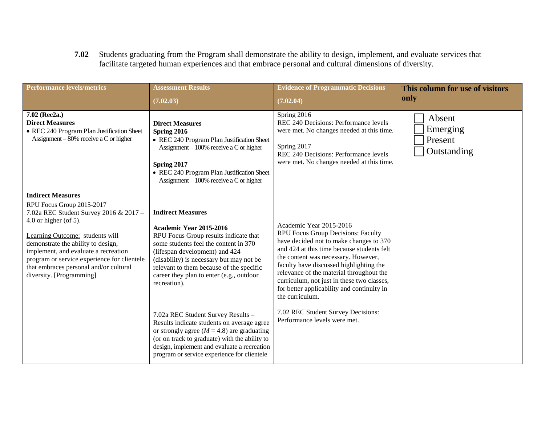**7.02** Students graduating from the Program shall demonstrate the ability to design, implement, and evaluate services that facilitate targeted human experiences and that embrace personal and cultural dimensions of diversity.

| <b>Performance levels/metrics</b>                                                                                                                                                                                                                                                                                                                                | <b>Assessment Results</b>                                                                                                                                                                                                                                                                                                   | <b>Evidence of Programmatic Decisions</b>                                                                                                                                                                                                                                                                                                                                                           | This column for use of visitors              |
|------------------------------------------------------------------------------------------------------------------------------------------------------------------------------------------------------------------------------------------------------------------------------------------------------------------------------------------------------------------|-----------------------------------------------------------------------------------------------------------------------------------------------------------------------------------------------------------------------------------------------------------------------------------------------------------------------------|-----------------------------------------------------------------------------------------------------------------------------------------------------------------------------------------------------------------------------------------------------------------------------------------------------------------------------------------------------------------------------------------------------|----------------------------------------------|
|                                                                                                                                                                                                                                                                                                                                                                  | (7.02.03)                                                                                                                                                                                                                                                                                                                   | (7.02.04)                                                                                                                                                                                                                                                                                                                                                                                           | only                                         |
| 7.02 (Rec2a.)<br><b>Direct Measures</b><br>• REC 240 Program Plan Justification Sheet<br>Assignment $-80\%$ receive a C or higher                                                                                                                                                                                                                                | <b>Direct Measures</b><br>Spring 2016<br>• REC 240 Program Plan Justification Sheet<br>Assignment $-100\%$ receive a C or higher<br>Spring 2017<br>• REC 240 Program Plan Justification Sheet<br>Assignment $-100\%$ receive a C or higher                                                                                  | Spring 2016<br>REC 240 Decisions: Performance levels<br>were met. No changes needed at this time.<br>Spring 2017<br>REC 240 Decisions: Performance levels<br>were met. No changes needed at this time.                                                                                                                                                                                              | Absent<br>Emerging<br>Present<br>Outstanding |
| <b>Indirect Measures</b><br>RPU Focus Group 2015-2017<br>7.02a REC Student Survey 2016 & 2017 -<br>$4.0$ or higher (of 5).<br>Learning Outcome: students will<br>demonstrate the ability to design,<br>implement, and evaluate a recreation<br>program or service experience for clientele<br>that embraces personal and/or cultural<br>diversity. [Programming] | <b>Indirect Measures</b><br>Academic Year 2015-2016<br>RPU Focus Group results indicate that<br>some students feel the content in 370<br>(lifespan development) and 424<br>(disability) is necessary but may not be<br>relevant to them because of the specific<br>career they plan to enter (e.g., outdoor<br>recreation). | Academic Year 2015-2016<br>RPU Focus Group Decisions: Faculty<br>have decided not to make changes to 370<br>and 424 at this time because students felt<br>the content was necessary. However,<br>faculty have discussed highlighting the<br>relevance of the material throughout the<br>curriculum, not just in these two classes,<br>for better applicability and continuity in<br>the curriculum. |                                              |
|                                                                                                                                                                                                                                                                                                                                                                  | 7.02a REC Student Survey Results -<br>Results indicate students on average agree<br>or strongly agree ( $M = 4.8$ ) are graduating<br>(or on track to graduate) with the ability to<br>design, implement and evaluate a recreation<br>program or service experience for clientele                                           | 7.02 REC Student Survey Decisions:<br>Performance levels were met.                                                                                                                                                                                                                                                                                                                                  |                                              |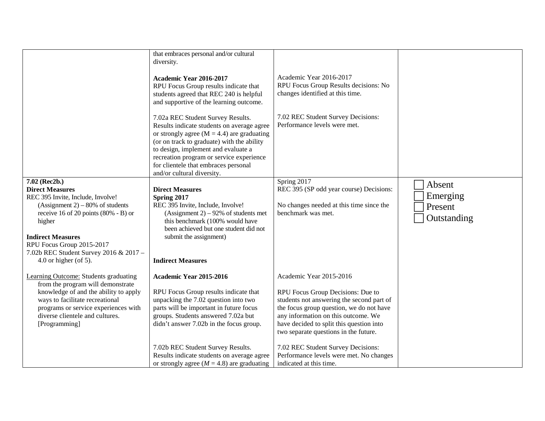|                                                                                | that embraces personal and/or cultural<br>diversity.<br>Academic Year 2016-2017<br>RPU Focus Group results indicate that<br>students agreed that REC 240 is helpful<br>and supportive of the learning outcome.                                                                                                                           | Academic Year 2016-2017<br>RPU Focus Group Results decisions: No<br>changes identified at this time. |             |
|--------------------------------------------------------------------------------|------------------------------------------------------------------------------------------------------------------------------------------------------------------------------------------------------------------------------------------------------------------------------------------------------------------------------------------|------------------------------------------------------------------------------------------------------|-------------|
|                                                                                | 7.02a REC Student Survey Results.<br>Results indicate students on average agree<br>or strongly agree ( $M = 4.4$ ) are graduating<br>(or on track to graduate) with the ability<br>to design, implement and evaluate a<br>recreation program or service experience<br>for clientele that embraces personal<br>and/or cultural diversity. | 7.02 REC Student Survey Decisions:<br>Performance levels were met.                                   |             |
| 7.02 (Rec2b.)                                                                  |                                                                                                                                                                                                                                                                                                                                          | Spring 2017                                                                                          | Absent      |
| <b>Direct Measures</b>                                                         | <b>Direct Measures</b>                                                                                                                                                                                                                                                                                                                   | REC 395 (SP odd year course) Decisions:                                                              |             |
| REC 395 Invite, Include, Involve!                                              | Spring 2017<br>REC 395 Invite, Include, Involve!                                                                                                                                                                                                                                                                                         |                                                                                                      | Emerging    |
| $(Assignment 2) – 80\% of students$<br>receive 16 of 20 points $(80\% - B)$ or | (Assignment 2) – 92% of students met                                                                                                                                                                                                                                                                                                     | No changes needed at this time since the<br>benchmark was met.                                       | Present     |
| higher                                                                         | this benchmark (100% would have                                                                                                                                                                                                                                                                                                          |                                                                                                      | Outstanding |
|                                                                                | been achieved but one student did not                                                                                                                                                                                                                                                                                                    |                                                                                                      |             |
| <b>Indirect Measures</b>                                                       | submit the assignment)                                                                                                                                                                                                                                                                                                                   |                                                                                                      |             |
| RPU Focus Group 2015-2017                                                      |                                                                                                                                                                                                                                                                                                                                          |                                                                                                      |             |
| 7.02b REC Student Survey 2016 & 2017 -                                         |                                                                                                                                                                                                                                                                                                                                          |                                                                                                      |             |
| 4.0 or higher (of 5).                                                          | <b>Indirect Measures</b>                                                                                                                                                                                                                                                                                                                 |                                                                                                      |             |
| Learning Outcome: Students graduating<br>from the program will demonstrate     | Academic Year 2015-2016                                                                                                                                                                                                                                                                                                                  | Academic Year 2015-2016                                                                              |             |
| knowledge of and the ability to apply                                          | RPU Focus Group results indicate that                                                                                                                                                                                                                                                                                                    | RPU Focus Group Decisions: Due to                                                                    |             |
| ways to facilitate recreational                                                | unpacking the 7.02 question into two                                                                                                                                                                                                                                                                                                     | students not answering the second part of                                                            |             |
| programs or service experiences with                                           | parts will be important in future focus                                                                                                                                                                                                                                                                                                  | the focus group question, we do not have                                                             |             |
| diverse clientele and cultures.                                                | groups. Students answered 7.02a but                                                                                                                                                                                                                                                                                                      | any information on this outcome. We                                                                  |             |
| [Programming]                                                                  | didn't answer 7.02b in the focus group.                                                                                                                                                                                                                                                                                                  | have decided to split this question into<br>two separate questions in the future.                    |             |
|                                                                                |                                                                                                                                                                                                                                                                                                                                          |                                                                                                      |             |
|                                                                                | 7.02b REC Student Survey Results.                                                                                                                                                                                                                                                                                                        | 7.02 REC Student Survey Decisions:                                                                   |             |
|                                                                                | Results indicate students on average agree                                                                                                                                                                                                                                                                                               | Performance levels were met. No changes                                                              |             |
|                                                                                | or strongly agree ( $M = 4.8$ ) are graduating                                                                                                                                                                                                                                                                                           | indicated at this time.                                                                              |             |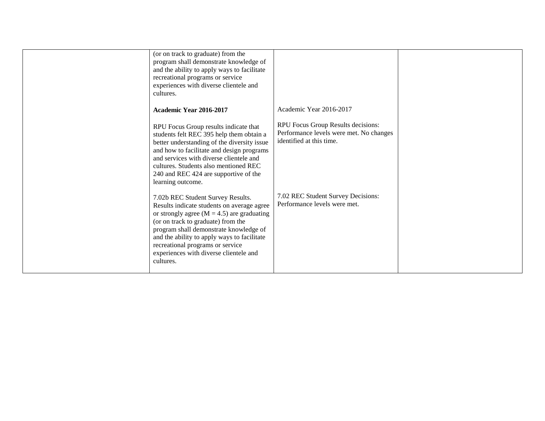| (or on track to graduate) from the<br>program shall demonstrate knowledge of<br>and the ability to apply ways to facilitate<br>recreational programs or service<br>experiences with diverse clientele and<br>cultures.                                                                                                                                      |                                                                                                           |  |
|-------------------------------------------------------------------------------------------------------------------------------------------------------------------------------------------------------------------------------------------------------------------------------------------------------------------------------------------------------------|-----------------------------------------------------------------------------------------------------------|--|
| Academic Year 2016-2017                                                                                                                                                                                                                                                                                                                                     | Academic Year 2016-2017                                                                                   |  |
| RPU Focus Group results indicate that<br>students felt REC 395 help them obtain a<br>better understanding of the diversity issue<br>and how to facilitate and design programs<br>and services with diverse clientele and<br>cultures. Students also mentioned REC<br>240 and REC 424 are supportive of the<br>learning outcome.                             | RPU Focus Group Results decisions:<br>Performance levels were met. No changes<br>identified at this time. |  |
| 7.02b REC Student Survey Results.<br>Results indicate students on average agree<br>or strongly agree ( $M = 4.5$ ) are graduating<br>(or on track to graduate) from the<br>program shall demonstrate knowledge of<br>and the ability to apply ways to facilitate<br>recreational programs or service<br>experiences with diverse clientele and<br>cultures. | 7.02 REC Student Survey Decisions:<br>Performance levels were met.                                        |  |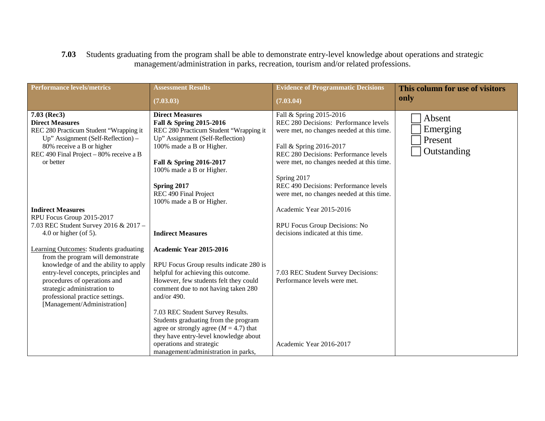## **7.03** Students graduating from the program shall be able to demonstrate entry-level knowledge about operations and strategic management/administration in parks, recreation, tourism and/or related professions.

| <b>Performance levels/metrics</b>                                                                                                                                                                                                                                                             | <b>Assessment Results</b>                                                                                                                                                                                                                                                                                                                                                    | <b>Evidence of Programmatic Decisions</b>                                                                                                                                                                                                     | This column for use of visitors              |
|-----------------------------------------------------------------------------------------------------------------------------------------------------------------------------------------------------------------------------------------------------------------------------------------------|------------------------------------------------------------------------------------------------------------------------------------------------------------------------------------------------------------------------------------------------------------------------------------------------------------------------------------------------------------------------------|-----------------------------------------------------------------------------------------------------------------------------------------------------------------------------------------------------------------------------------------------|----------------------------------------------|
|                                                                                                                                                                                                                                                                                               | (7.03.03)                                                                                                                                                                                                                                                                                                                                                                    | (7.03.04)                                                                                                                                                                                                                                     | only                                         |
| $7.03$ (Rec3)<br><b>Direct Measures</b><br>REC 280 Practicum Student "Wrapping it<br>Up" Assignment (Self-Reflection) –<br>80% receive a B or higher<br>REC 490 Final Project - 80% receive a B<br>or better                                                                                  | <b>Direct Measures</b><br>Fall & Spring 2015-2016<br>REC 280 Practicum Student "Wrapping it<br>Up" Assignment (Self-Reflection)<br>100% made a B or Higher.<br>Fall & Spring 2016-2017<br>100% made a B or Higher.                                                                                                                                                           | Fall & Spring 2015-2016<br>REC 280 Decisions: Performance levels<br>were met, no changes needed at this time.<br>Fall & Spring 2016-2017<br>REC 280 Decisions: Performance levels<br>were met, no changes needed at this time.<br>Spring 2017 | Absent<br>Emerging<br>Present<br>Outstanding |
| <b>Indirect Measures</b><br>RPU Focus Group 2015-2017<br>7.03 REC Student Survey 2016 & 2017 -<br>4.0 or higher (of 5).                                                                                                                                                                       | Spring 2017<br>REC 490 Final Project<br>100% made a B or Higher.<br><b>Indirect Measures</b>                                                                                                                                                                                                                                                                                 | REC 490 Decisions: Performance levels<br>were met, no changes needed at this time.<br>Academic Year 2015-2016<br>RPU Focus Group Decisions: No<br>decisions indicated at this time.                                                           |                                              |
| Learning Outcomes: Students graduating<br>from the program will demonstrate<br>knowledge of and the ability to apply<br>entry-level concepts, principles and<br>procedures of operations and<br>strategic administration to<br>professional practice settings.<br>[Management/Administration] | Academic Year 2015-2016<br>RPU Focus Group results indicate 280 is<br>helpful for achieving this outcome.<br>However, few students felt they could<br>comment due to not having taken 280<br>and/or $490$ .<br>7.03 REC Student Survey Results.<br>Students graduating from the program<br>agree or strongly agree $(M = 4.7)$ that<br>they have entry-level knowledge about | 7.03 REC Student Survey Decisions:<br>Performance levels were met.                                                                                                                                                                            |                                              |
|                                                                                                                                                                                                                                                                                               | operations and strategic<br>management/administration in parks,                                                                                                                                                                                                                                                                                                              | Academic Year 2016-2017                                                                                                                                                                                                                       |                                              |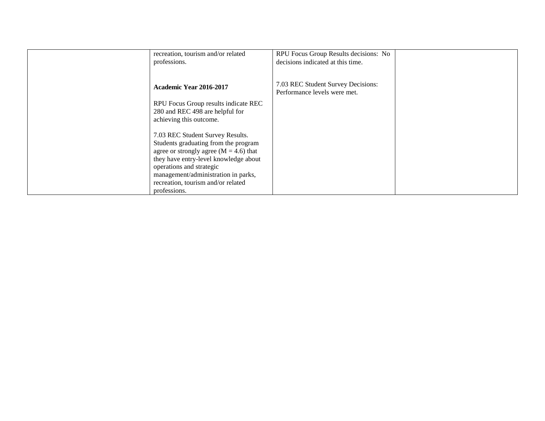| recreation, tourism and/or related                                                                                                                                                                                                 | RPU Focus Group Results decisions: No                              |  |
|------------------------------------------------------------------------------------------------------------------------------------------------------------------------------------------------------------------------------------|--------------------------------------------------------------------|--|
| professions.                                                                                                                                                                                                                       | decisions indicated at this time.                                  |  |
|                                                                                                                                                                                                                                    |                                                                    |  |
| Academic Year 2016-2017                                                                                                                                                                                                            | 7.03 REC Student Survey Decisions:<br>Performance levels were met. |  |
| RPU Focus Group results indicate REC<br>280 and REC 498 are helpful for<br>achieving this outcome.                                                                                                                                 |                                                                    |  |
| 7.03 REC Student Survey Results.<br>Students graduating from the program<br>agree or strongly agree ( $M = 4.6$ ) that<br>they have entry-level knowledge about<br>operations and strategic<br>management/administration in parks, |                                                                    |  |
| recreation, tourism and/or related<br>professions.                                                                                                                                                                                 |                                                                    |  |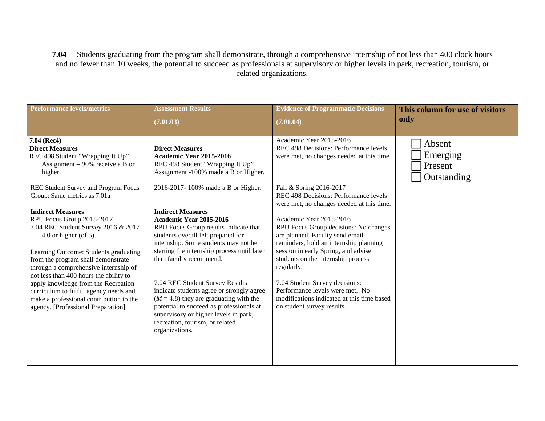**7.04** Students graduating from the program shall demonstrate, through a comprehensive internship of not less than 400 clock hours and no fewer than 10 weeks, the potential to succeed as professionals at supervisory or higher levels in park, recreation, tourism, or related organizations.

| <b>Performance levels/metrics</b>                                                                                                                                                                                                                                                                                                                                                                                                                                                                                                                                                                                                                                     | <b>Assessment Results</b>                                                                                                                                                                                                                                                                                                                                                                                                                                                                                                                                                                                                                                                                         | <b>Evidence of Programmatic Decisions</b>                                                                                                                                                                                                                                                                                                                                                                                                                                                                                                                                                                                   | This column for use of visitors              |
|-----------------------------------------------------------------------------------------------------------------------------------------------------------------------------------------------------------------------------------------------------------------------------------------------------------------------------------------------------------------------------------------------------------------------------------------------------------------------------------------------------------------------------------------------------------------------------------------------------------------------------------------------------------------------|---------------------------------------------------------------------------------------------------------------------------------------------------------------------------------------------------------------------------------------------------------------------------------------------------------------------------------------------------------------------------------------------------------------------------------------------------------------------------------------------------------------------------------------------------------------------------------------------------------------------------------------------------------------------------------------------------|-----------------------------------------------------------------------------------------------------------------------------------------------------------------------------------------------------------------------------------------------------------------------------------------------------------------------------------------------------------------------------------------------------------------------------------------------------------------------------------------------------------------------------------------------------------------------------------------------------------------------------|----------------------------------------------|
|                                                                                                                                                                                                                                                                                                                                                                                                                                                                                                                                                                                                                                                                       | (7.01.03)                                                                                                                                                                                                                                                                                                                                                                                                                                                                                                                                                                                                                                                                                         | (7.01.04)                                                                                                                                                                                                                                                                                                                                                                                                                                                                                                                                                                                                                   | only                                         |
| 7.04 (Rec4)<br><b>Direct Measures</b><br>REC 498 Student "Wrapping It Up"<br>Assignment – 90% receive a B or<br>higher.<br>REC Student Survey and Program Focus<br>Group: Same metrics as 7.01a<br><b>Indirect Measures</b><br>RPU Focus Group 2015-2017<br>7.04 REC Student Survey 2016 & 2017 -<br>4.0 or higher (of 5).<br><b>Learning Outcome: Students graduating</b><br>from the program shall demonstrate<br>through a comprehensive internship of<br>not less than 400 hours the ability to<br>apply knowledge from the Recreation<br>curriculum to fulfill agency needs and<br>make a professional contribution to the<br>agency. [Professional Preparation] | <b>Direct Measures</b><br>Academic Year 2015-2016<br>REC 498 Student "Wrapping It Up"<br>Assignment -100% made a B or Higher.<br>2016-2017-100% made a B or Higher.<br><b>Indirect Measures</b><br>Academic Year 2015-2016<br>RPU Focus Group results indicate that<br>students overall felt prepared for<br>internship. Some students may not be<br>starting the internship process until later<br>than faculty recommend.<br>7.04 REC Student Survey Results<br>indicate students agree or strongly agree<br>$(M = 4.8)$ they are graduating with the<br>potential to succeed as professionals at<br>supervisory or higher levels in park,<br>recreation, tourism, or related<br>organizations. | Academic Year 2015-2016<br>REC 498 Decisions: Performance levels<br>were met, no changes needed at this time.<br>Fall & Spring 2016-2017<br>REC 498 Decisions: Performance levels<br>were met, no changes needed at this time.<br>Academic Year 2015-2016<br>RPU Focus Group decisions: No changes<br>are planned. Faculty send email<br>reminders, hold an internship planning<br>session in early Spring, and advise<br>students on the internship process<br>regularly.<br>7.04 Student Survey decisions:<br>Performance levels were met. No<br>modifications indicated at this time based<br>on student survey results. | Absent<br>Emerging<br>Present<br>Outstanding |